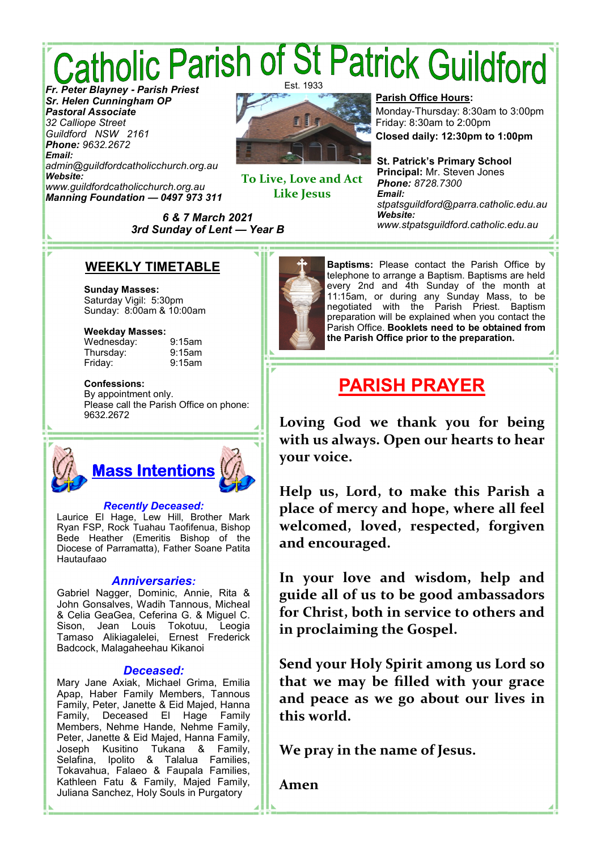# *Catholic Parish of St Patrick Guildford* Est. 1933

*Sr. Helen Cunningham OP Pastoral Associate 32 Calliope Street Guildford NSW 2161 Phone: 9632.2672 Email: admin@guildfordcatholicchurch.org.au Website: www.guildfordcatholicchurch.org.au Manning Foundation* **—** *0497 973 311*



**To Live, Love and Act Like Jesus** 

**St. Patrick's Primary School Principal:** Mr. Steven Jones *Phone: 8728.7300 Email: stpatsguildford@parra.catholic.edu.au Website:*

Monday-Thursday: 8:30am to 3:00pm

**Closed daily: 12:30pm to 1:00pm**

*www.stpatsguildford.catholic.edu.au*

# *3rd Sunday of Lent* **—** *Year B*

*6 & 7 March 2021*

## **WEEKLY TIMETABLE**

**Sunday Masses:** Saturday Vigil: 5:30pm Sunday: 8:00am & 10:00am

#### **Weekday Masses:**

Wednesday: 9:15am Thursday: 9:15am Friday:

## **Confessions:**

By appointment only. Please call the Parish Office on phone: 9632.2672



#### *Recently Deceased:*

Laurice El Hage, Lew Hill, Brother Mark Ryan FSP, Rock Tuahau Taofifenua, Bishop Bede Heather (Emeritis Bishop of the Diocese of Parramatta), Father Soane Patita Hautaufaao

### *Anniversaries:*

Gabriel Nagger, Dominic, Annie, Rita & John Gonsalves, Wadih Tannous, Micheal & Celia GeaGea, Ceferina G. & Miguel C. Sison, Jean Louis Tokotuu, Leogia Tamaso Alikiagalelei, Ernest Frederick Badcock, Malagaheehau Kikanoi

### *Deceased:*

Mary Jane Axiak, Michael Grima, Emilia Apap, Haber Family Members, Tannous Family, Peter, Janette & Eid Majed, Hanna Family, Deceased El Hage Family Members, Nehme Hande, Nehme Family, Peter, Janette & Eid Majed, Hanna Family, Joseph Kusitino Tukana & Family, Selafina, Ipolito & Talalua Families, Tokavahua, Falaeo & Faupala Families, Kathleen Fatu & Family, Majed Family, Juliana Sanchez, Holy Souls in Purgatory



**Baptisms:** Please contact the Parish Office by telephone to arrange a Baptism. Baptisms are held every 2nd and 4th Sunday of the month at 11:15am, or during any Sunday Mass, to be negotiated with the Parish Priest. Baptism preparation will be explained when you contact the Parish Office. **Booklets need to be obtained from the Parish Office prior to the preparation.**

**Parish Office Hours:**

Friday: 8:30am to 2:00pm

# **PARISH PRAYER**

**Loving God we thank you for being with us always. Open our hearts to hear your voice.** 

**Help us, Lord, to make this Parish a place of mercy and hope, where all feel welcomed, loved, respected, forgiven and encouraged.** 

**In your love and wisdom, help and guide all of us to be good ambassadors for Christ, both in service to others and in proclaiming the Gospel.** 

**Send your Holy Spirit among us Lord so that we may be filled with your grace and peace as we go about our lives in this world.** 

**We pray in the name of Jesus.** 

**Amen**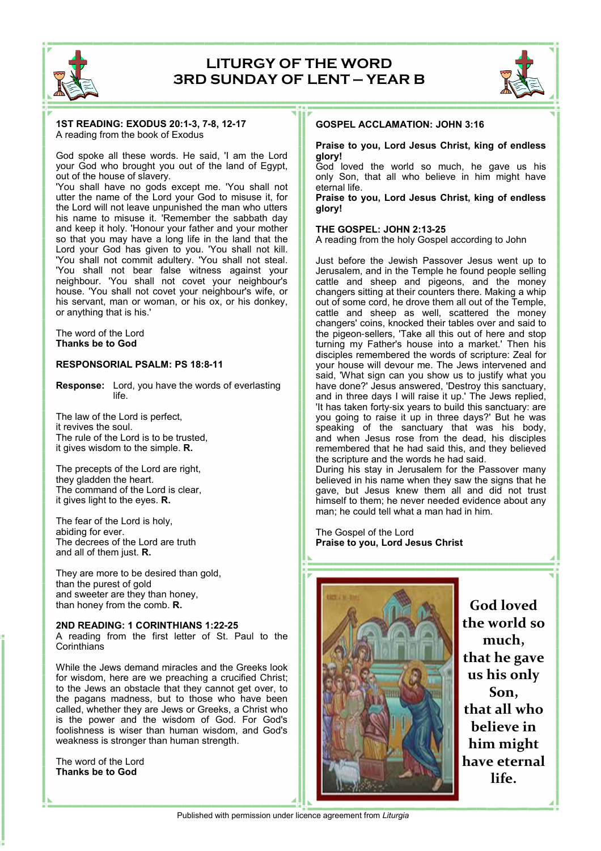

## **LITURGY OF THE WORD 3RD SUNDAY OF LENT — YEAR B**



#### **1ST READING: EXODUS 20:1-3, 7-8, 12-17** A reading from the book of Exodus

God spoke all these words. He said, 'I am the Lord your God who brought you out of the land of Egypt, out of the house of slavery.

'You shall have no gods except me. 'You shall not utter the name of the Lord your God to misuse it, for the Lord will not leave unpunished the man who utters his name to misuse it. 'Remember the sabbath day and keep it holy. 'Honour your father and your mother so that you may have a long life in the land that the Lord your God has given to you. 'You shall not kill. 'You shall not commit adultery. 'You shall not steal. 'You shall not bear false witness against your neighbour. 'You shall not covet your neighbour's house. 'You shall not covet your neighbour's wife, or his servant, man or woman, or his ox, or his donkey, or anything that is his.'

The word of the Lord **Thanks be to God**

#### **RESPONSORIAL PSALM: PS 18:8-11**

**Response:** Lord, you have the words of everlasting life.

The law of the Lord is perfect, it revives the soul. The rule of the Lord is to be trusted, it gives wisdom to the simple. **R.**

The precepts of the Lord are right, they gladden the heart. The command of the Lord is clear, it gives light to the eyes. **R.**

The fear of the Lord is holy, abiding for ever. The decrees of the Lord are truth and all of them just. **R.**

They are more to be desired than gold, than the purest of gold and sweeter are they than honey, than honey from the comb. **R.**

#### **2ND READING: 1 CORINTHIANS 1:22-25**

A reading from the first letter of St. Paul to the **Corinthians** 

While the Jews demand miracles and the Greeks look for wisdom, here are we preaching a crucified Christ; to the Jews an obstacle that they cannot get over, to the pagans madness, but to those who have been called, whether they are Jews or Greeks, a Christ who is the power and the wisdom of God. For God's foolishness is wiser than human wisdom, and God's weakness is stronger than human strength.

The word of the Lord **Thanks be to God**

#### **GOSPEL ACCLAMATION: JOHN 3:16**

**Praise to you, Lord Jesus Christ, king of endless glory!**

God loved the world so much, he gave us his only Son, that all who believe in him might have eternal life.

**Praise to you, Lord Jesus Christ, king of endless glory!**

#### **THE GOSPEL: JOHN 2:13-25**

A reading from the holy Gospel according to John

Just before the Jewish Passover Jesus went up to Jerusalem, and in the Temple he found people selling cattle and sheep and pigeons, and the money changers sitting at their counters there. Making a whip out of some cord, he drove them all out of the Temple, cattle and sheep as well, scattered the money changers' coins, knocked their tables over and said to the pigeon-sellers, 'Take all this out of here and stop turning my Father's house into a market.' Then his disciples remembered the words of scripture: Zeal for your house will devour me. The Jews intervened and said, 'What sign can you show us to justify what you have done?' Jesus answered, 'Destroy this sanctuary, and in three days I will raise it up.' The Jews replied, 'It has taken forty-six years to build this sanctuary: are you going to raise it up in three days?' But he was speaking of the sanctuary that was his body, and when Jesus rose from the dead, his disciples remembered that he had said this, and they believed the scripture and the words he had said.

During his stay in Jerusalem for the Passover many believed in his name when they saw the signs that he gave, but Jesus knew them all and did not trust himself to them; he never needed evidence about any man; he could tell what a man had in him.

The Gospel of the Lord **Praise to you, Lord Jesus Christ**



**God loved the world so much, that he gave us his only Son, that all who believe in him might have eternal life.**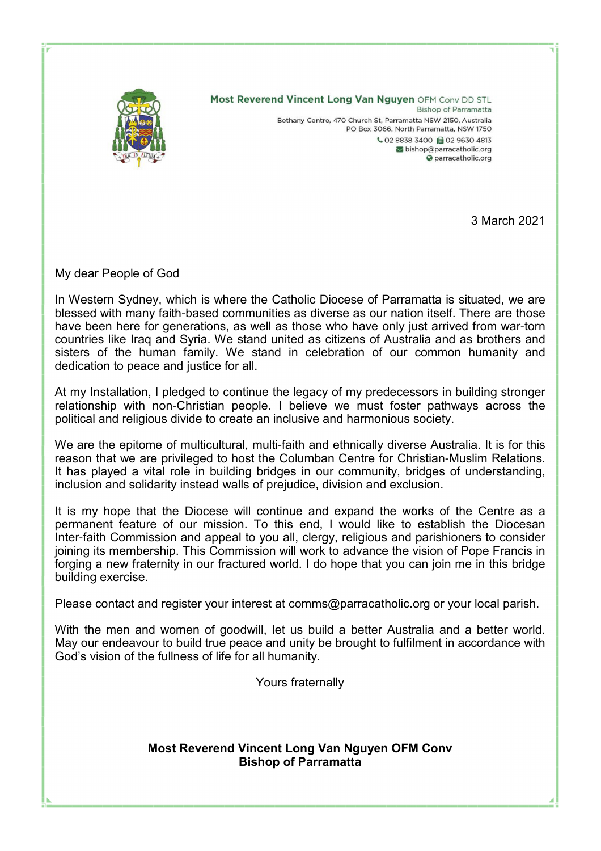

Most Reverend Vincent Long Van Nguyen OFM Conv DD STL Bishop of Parramatta Bethany Centre, 470 Church St, Parramatta NSW 2150, Australia PO Box 3066, North Parramatta, NSW 1750 ↓0288383400 296304813 bishop@parracatholic.org **O** parracatholic.org

3 March 2021

My dear People of God

In Western Sydney, which is where the Catholic Diocese of Parramatta is situated, we are blessed with many faith-based communities as diverse as our nation itself. There are those have been here for generations, as well as those who have only just arrived from war-torn countries like Iraq and Syria. We stand united as citizens of Australia and as brothers and sisters of the human family. We stand in celebration of our common humanity and dedication to peace and justice for all.

At my Installation, I pledged to continue the legacy of my predecessors in building stronger relationship with non-Christian people. I believe we must foster pathways across the political and religious divide to create an inclusive and harmonious society.

We are the epitome of multicultural, multi-faith and ethnically diverse Australia. It is for this reason that we are privileged to host the Columban Centre for Christian-Muslim Relations. It has played a vital role in building bridges in our community, bridges of understanding, inclusion and solidarity instead walls of prejudice, division and exclusion.

It is my hope that the Diocese will continue and expand the works of the Centre as a permanent feature of our mission. To this end, I would like to establish the Diocesan Inter-faith Commission and appeal to you all, clergy, religious and parishioners to consider joining its membership. This Commission will work to advance the vision of Pope Francis in forging a new fraternity in our fractured world. I do hope that you can join me in this bridge building exercise.

Please contact and register your interest at comms@parracatholic.org or your local parish.

With the men and women of goodwill, let us build a better Australia and a better world. May our endeavour to build true peace and unity be brought to fulfilment in accordance with God's vision of the fullness of life for all humanity.

Yours fraternally

### **Most Reverend Vincent Long Van Nguyen OFM Conv Bishop of Parramatta**